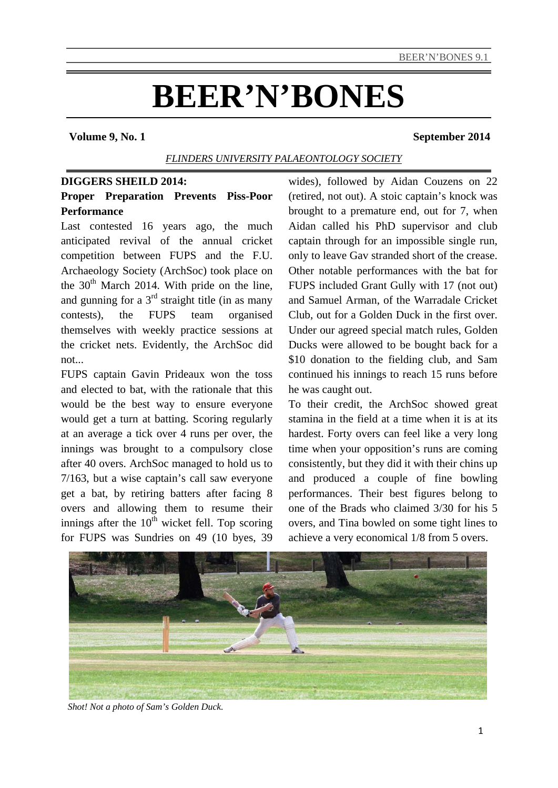# **BEER'N'BONES**

#### **Volume 9, No. 1** September 2014

# *FLINDERS UNIVERSITY PALAEONTOLOGY SOCIETY*

# **DIGGERS SHEILD 2014:**

# **Proper Preparation Prevents Piss-Poor Performance**

Last contested 16 years ago, the much anticipated revival of the annual cricket competition between FUPS and the F.U. Archaeology Society (ArchSoc) took place on the  $30<sup>th</sup>$  March 2014. With pride on the line, and gunning for a  $3<sup>rd</sup>$  straight title (in as many contests), the FUPS team organised themselves with weekly practice sessions at the cricket nets. Evidently, the ArchSoc did not...

FUPS captain Gavin Prideaux won the toss and elected to bat, with the rationale that this would be the best way to ensure everyone would get a turn at batting. Scoring regularly at an average a tick over 4 runs per over, the innings was brought to a compulsory close after 40 overs. ArchSoc managed to hold us to 7/163, but a wise captain's call saw everyone get a bat, by retiring batters after facing 8 overs and allowing them to resume their innings after the  $10<sup>th</sup>$  wicket fell. Top scoring for FUPS was Sundries on 49 (10 byes, 39

wides), followed by Aidan Couzens on 22 (retired, not out). A stoic captain's knock was brought to a premature end, out for 7, when Aidan called his PhD supervisor and club captain through for an impossible single run, only to leave Gav stranded short of the crease. Other notable performances with the bat for FUPS included Grant Gully with 17 (not out) and Samuel Arman, of the Warradale Cricket Club, out for a Golden Duck in the first over. Under our agreed special match rules, Golden Ducks were allowed to be bought back for a \$10 donation to the fielding club, and Sam continued his innings to reach 15 runs before he was caught out.

To their credit, the ArchSoc showed great stamina in the field at a time when it is at its hardest. Forty overs can feel like a very long time when your opposition's runs are coming consistently, but they did it with their chins up and produced a couple of fine bowling performances. Their best figures belong to one of the Brads who claimed 3/30 for his 5 overs, and Tina bowled on some tight lines to achieve a very economical 1/8 from 5 overs.



*Shot! Not a photo of Sam's Golden Duck.*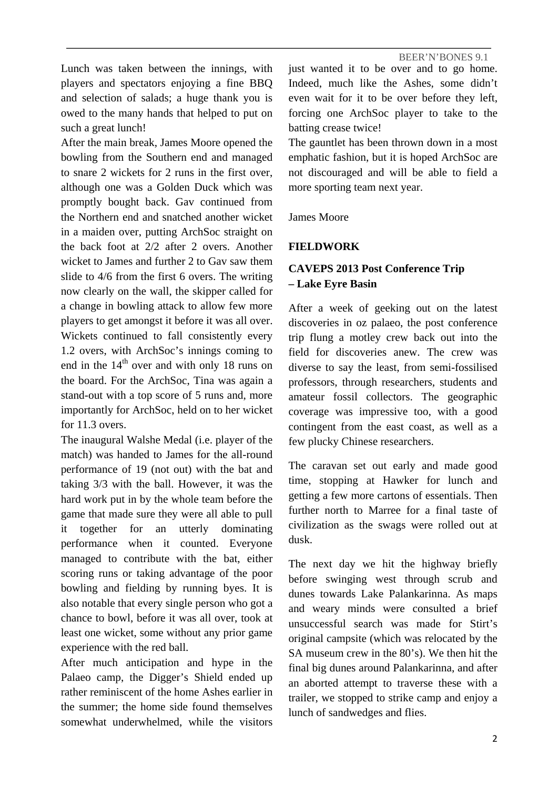Lunch was taken between the innings, with players and spectators enjoying a fine BBQ and selection of salads; a huge thank you is owed to the many hands that helped to put on such a great lunch!

After the main break, James Moore opened the bowling from the Southern end and managed to snare 2 wickets for 2 runs in the first over, although one was a Golden Duck which was promptly bought back. Gav continued from the Northern end and snatched another wicket in a maiden over, putting ArchSoc straight on the back foot at 2/2 after 2 overs. Another wicket to James and further 2 to Gav saw them slide to 4/6 from the first 6 overs. The writing now clearly on the wall, the skipper called for a change in bowling attack to allow few more players to get amongst it before it was all over. Wickets continued to fall consistently every 1.2 overs, with ArchSoc's innings coming to end in the  $14<sup>th</sup>$  over and with only 18 runs on the board. For the ArchSoc, Tina was again a stand-out with a top score of 5 runs and, more importantly for ArchSoc, held on to her wicket for 11.3 overs.

The inaugural Walshe Medal (i.e. player of the match) was handed to James for the all-round performance of 19 (not out) with the bat and taking 3/3 with the ball. However, it was the hard work put in by the whole team before the game that made sure they were all able to pull it together for an utterly dominating performance when it counted. Everyone managed to contribute with the bat, either scoring runs or taking advantage of the poor bowling and fielding by running byes. It is also notable that every single person who got a chance to bowl, before it was all over, took at least one wicket, some without any prior game experience with the red ball.

After much anticipation and hype in the Palaeo camp, the Digger's Shield ended up rather reminiscent of the home Ashes earlier in the summer; the home side found themselves somewhat underwhelmed, while the visitors

just wanted it to be over and to go home. Indeed, much like the Ashes, some didn't even wait for it to be over before they left, forcing one ArchSoc player to take to the batting crease twice!

The gauntlet has been thrown down in a most emphatic fashion, but it is hoped ArchSoc are not discouraged and will be able to field a more sporting team next year.

James Moore

# **FIELDWORK**

# **CAVEPS 2013 Post Conference Trip – Lake Eyre Basin**

After a week of geeking out on the latest discoveries in oz palaeo, the post conference trip flung a motley crew back out into the field for discoveries anew. The crew was diverse to say the least, from semi-fossilised professors, through researchers, students and amateur fossil collectors. The geographic coverage was impressive too, with a good contingent from the east coast, as well as a few plucky Chinese researchers.

The caravan set out early and made good time, stopping at Hawker for lunch and getting a few more cartons of essentials. Then further north to Marree for a final taste of civilization as the swags were rolled out at dusk.

The next day we hit the highway briefly before swinging west through scrub and dunes towards Lake Palankarinna. As maps and weary minds were consulted a brief unsuccessful search was made for Stirt's original campsite (which was relocated by the SA museum crew in the 80's). We then hit the final big dunes around Palankarinna, and after an aborted attempt to traverse these with a trailer, we stopped to strike camp and enjoy a lunch of sandwedges and flies.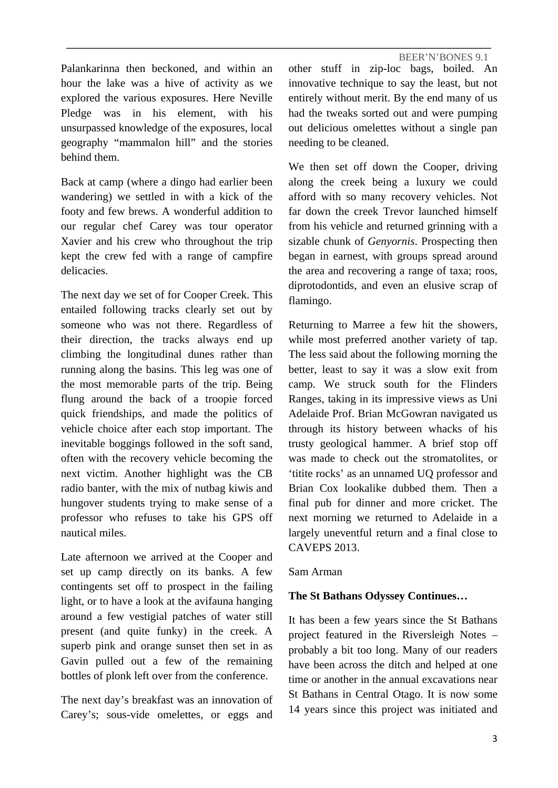Palankarinna then beckoned, and within an hour the lake was a hive of activity as we explored the various exposures. Here Neville Pledge was in his element, with his unsurpassed knowledge of the exposures, local geography "mammalon hill" and the stories behind them.

Back at camp (where a dingo had earlier been wandering) we settled in with a kick of the footy and few brews. A wonderful addition to our regular chef Carey was tour operator Xavier and his crew who throughout the trip kept the crew fed with a range of campfire delicacies.

The next day we set of for Cooper Creek. This entailed following tracks clearly set out by someone who was not there. Regardless of their direction, the tracks always end up climbing the longitudinal dunes rather than running along the basins. This leg was one of the most memorable parts of the trip. Being flung around the back of a troopie forced quick friendships, and made the politics of vehicle choice after each stop important. The inevitable boggings followed in the soft sand, often with the recovery vehicle becoming the next victim. Another highlight was the CB radio banter, with the mix of nutbag kiwis and hungover students trying to make sense of a professor who refuses to take his GPS off nautical miles.

Late afternoon we arrived at the Cooper and set up camp directly on its banks. A few contingents set off to prospect in the failing light, or to have a look at the avifauna hanging around a few vestigial patches of water still present (and quite funky) in the creek. A superb pink and orange sunset then set in as Gavin pulled out a few of the remaining bottles of plonk left over from the conference.

The next day's breakfast was an innovation of Carey's; sous-vide omelettes, or eggs and

BEER'N'BONES 9.1 other stuff in zip-loc bags, boiled. An innovative technique to say the least, but not entirely without merit. By the end many of us had the tweaks sorted out and were pumping out delicious omelettes without a single pan needing to be cleaned.

We then set off down the Cooper, driving along the creek being a luxury we could afford with so many recovery vehicles. Not far down the creek Trevor launched himself from his vehicle and returned grinning with a sizable chunk of *Genyornis*. Prospecting then began in earnest, with groups spread around the area and recovering a range of taxa; roos, diprotodontids, and even an elusive scrap of flamingo.

Returning to Marree a few hit the showers, while most preferred another variety of tap. The less said about the following morning the better, least to say it was a slow exit from camp. We struck south for the Flinders Ranges, taking in its impressive views as Uni Adelaide Prof. Brian McGowran navigated us through its history between whacks of his trusty geological hammer. A brief stop off was made to check out the stromatolites, or 'titite rocks' as an unnamed UQ professor and Brian Cox lookalike dubbed them. Then a final pub for dinner and more cricket. The next morning we returned to Adelaide in a largely uneventful return and a final close to CAVEPS 2013.

#### Sam Arman

#### **The St Bathans Odyssey Continues…**

It has been a few years since the St Bathans project featured in the Riversleigh Notes – probably a bit too long. Many of our readers have been across the ditch and helped at one time or another in the annual excavations near St Bathans in Central Otago. It is now some 14 years since this project was initiated and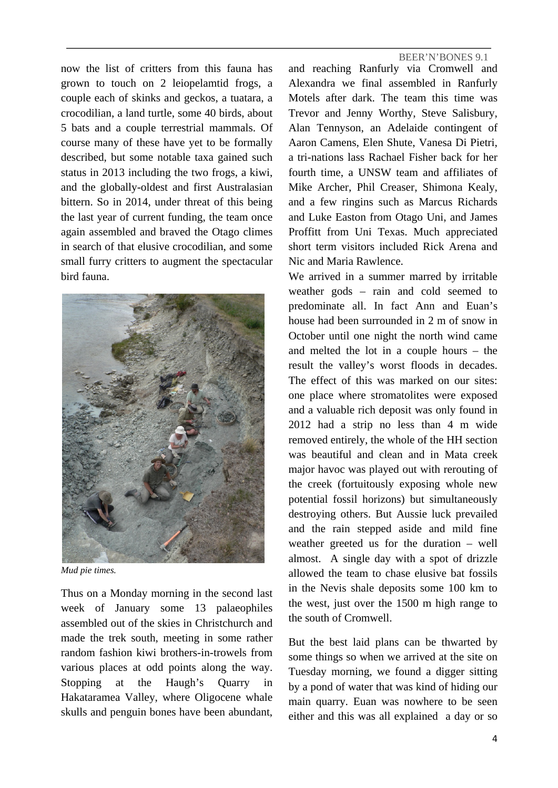now the list of critters from this fauna has grown to touch on 2 leiopelamtid frogs, a couple each of skinks and geckos, a tuatara, a crocodilian, a land turtle, some 40 birds, about 5 bats and a couple terrestrial mammals. Of course many of these have yet to be formally described, but some notable taxa gained such status in 2013 including the two frogs, a kiwi, and the globally-oldest and first Australasian bittern. So in 2014, under threat of this being the last year of current funding, the team once again assembled and braved the Otago climes in search of that elusive crocodilian, and some small furry critters to augment the spectacular bird fauna.



*Mud pie times.* 

Thus on a Monday morning in the second last week of January some 13 palaeophiles assembled out of the skies in Christchurch and made the trek south, meeting in some rather random fashion kiwi brothers-in-trowels from various places at odd points along the way. Stopping at the Haugh's Quarry in Hakataramea Valley, where Oligocene whale skulls and penguin bones have been abundant, and reaching Ranfurly via Cromwell and Alexandra we final assembled in Ranfurly Motels after dark. The team this time was Trevor and Jenny Worthy, Steve Salisbury, Alan Tennyson, an Adelaide contingent of Aaron Camens, Elen Shute, Vanesa Di Pietri, a tri-nations lass Rachael Fisher back for her fourth time, a UNSW team and affiliates of Mike Archer, Phil Creaser, Shimona Kealy, and a few ringins such as Marcus Richards and Luke Easton from Otago Uni, and James Proffitt from Uni Texas. Much appreciated short term visitors included Rick Arena and Nic and Maria Rawlence.

We arrived in a summer marred by irritable weather gods – rain and cold seemed to predominate all. In fact Ann and Euan's house had been surrounded in 2 m of snow in October until one night the north wind came and melted the lot in a couple hours – the result the valley's worst floods in decades. The effect of this was marked on our sites: one place where stromatolites were exposed and a valuable rich deposit was only found in 2012 had a strip no less than 4 m wide removed entirely, the whole of the HH section was beautiful and clean and in Mata creek major havoc was played out with rerouting of the creek (fortuitously exposing whole new potential fossil horizons) but simultaneously destroying others. But Aussie luck prevailed and the rain stepped aside and mild fine weather greeted us for the duration – well almost. A single day with a spot of drizzle allowed the team to chase elusive bat fossils in the Nevis shale deposits some 100 km to the west, just over the 1500 m high range to the south of Cromwell.

But the best laid plans can be thwarted by some things so when we arrived at the site on Tuesday morning, we found a digger sitting by a pond of water that was kind of hiding our main quarry. Euan was nowhere to be seen either and this was all explained a day or so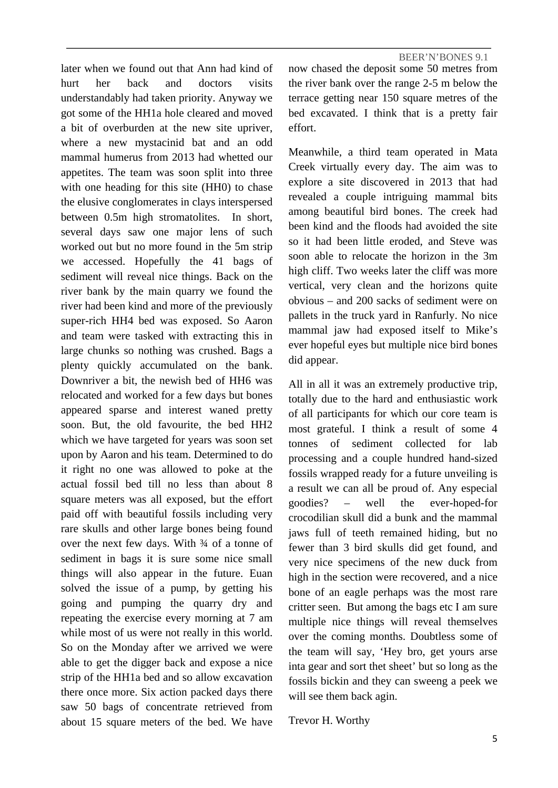later when we found out that Ann had kind of hurt her back and doctors visits understandably had taken priority. Anyway we got some of the HH1a hole cleared and moved a bit of overburden at the new site upriver, where a new mystacinid bat and an odd mammal humerus from 2013 had whetted our appetites. The team was soon split into three with one heading for this site (HH0) to chase the elusive conglomerates in clays interspersed between 0.5m high stromatolites. In short, several days saw one major lens of such worked out but no more found in the 5m strip we accessed. Hopefully the 41 bags of sediment will reveal nice things. Back on the river bank by the main quarry we found the river had been kind and more of the previously super-rich HH4 bed was exposed. So Aaron and team were tasked with extracting this in large chunks so nothing was crushed. Bags a plenty quickly accumulated on the bank. Downriver a bit, the newish bed of HH6 was relocated and worked for a few days but bones appeared sparse and interest waned pretty soon. But, the old favourite, the bed HH2 which we have targeted for years was soon set upon by Aaron and his team. Determined to do it right no one was allowed to poke at the actual fossil bed till no less than about 8 square meters was all exposed, but the effort paid off with beautiful fossils including very rare skulls and other large bones being found over the next few days. With 34 of a tonne of sediment in bags it is sure some nice small things will also appear in the future. Euan solved the issue of a pump, by getting his going and pumping the quarry dry and repeating the exercise every morning at 7 am while most of us were not really in this world. So on the Monday after we arrived we were able to get the digger back and expose a nice strip of the HH1a bed and so allow excavation there once more. Six action packed days there saw 50 bags of concentrate retrieved from about 15 square meters of the bed. We have

BEER'N'BONES 9.1 now chased the deposit some 50 metres from the river bank over the range 2-5 m below the terrace getting near 150 square metres of the bed excavated. I think that is a pretty fair effort.

Meanwhile, a third team operated in Mata Creek virtually every day. The aim was to explore a site discovered in 2013 that had revealed a couple intriguing mammal bits among beautiful bird bones. The creek had been kind and the floods had avoided the site so it had been little eroded, and Steve was soon able to relocate the horizon in the 3m high cliff. Two weeks later the cliff was more vertical, very clean and the horizons quite obvious – and 200 sacks of sediment were on pallets in the truck yard in Ranfurly. No nice mammal jaw had exposed itself to Mike's ever hopeful eyes but multiple nice bird bones did appear.

All in all it was an extremely productive trip, totally due to the hard and enthusiastic work of all participants for which our core team is most grateful. I think a result of some 4 tonnes of sediment collected for lab processing and a couple hundred hand-sized fossils wrapped ready for a future unveiling is a result we can all be proud of. Any especial goodies? – well the ever-hoped-for crocodilian skull did a bunk and the mammal jaws full of teeth remained hiding, but no fewer than 3 bird skulls did get found, and very nice specimens of the new duck from high in the section were recovered, and a nice bone of an eagle perhaps was the most rare critter seen. But among the bags etc I am sure multiple nice things will reveal themselves over the coming months. Doubtless some of the team will say, 'Hey bro, get yours arse inta gear and sort thet sheet' but so long as the fossils bickin and they can sweeng a peek we will see them back agin.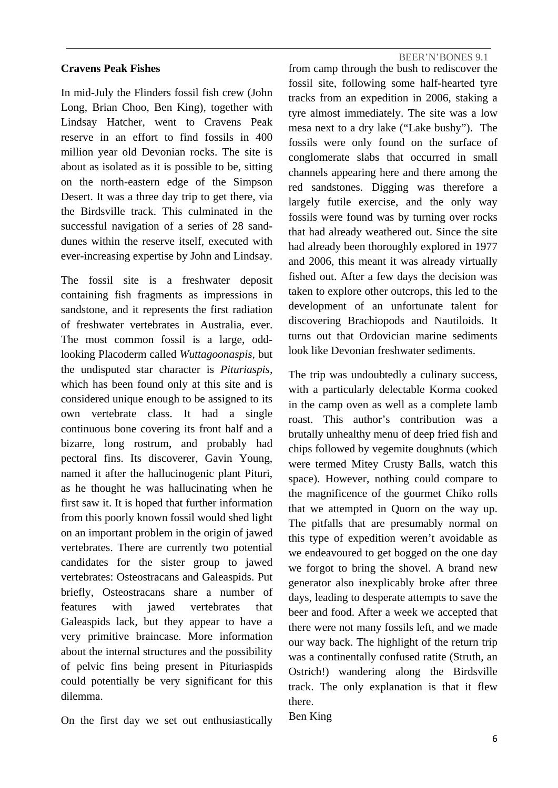#### **Cravens Peak Fishes**

In mid-July the Flinders fossil fish crew (John Long, Brian Choo, Ben King), together with Lindsay Hatcher, went to Cravens Peak reserve in an effort to find fossils in 400 million year old Devonian rocks. The site is about as isolated as it is possible to be, sitting on the north-eastern edge of the Simpson Desert. It was a three day trip to get there, via the Birdsville track. This culminated in the successful navigation of a series of 28 sanddunes within the reserve itself, executed with ever-increasing expertise by John and Lindsay.

The fossil site is a freshwater deposit containing fish fragments as impressions in sandstone, and it represents the first radiation of freshwater vertebrates in Australia, ever. The most common fossil is a large, oddlooking Placoderm called *Wuttagoonaspis,* but the undisputed star character is *Pituriaspis,*  which has been found only at this site and is considered unique enough to be assigned to its own vertebrate class. It had a single continuous bone covering its front half and a bizarre, long rostrum, and probably had pectoral fins. Its discoverer, Gavin Young, named it after the hallucinogenic plant Pituri, as he thought he was hallucinating when he first saw it. It is hoped that further information from this poorly known fossil would shed light on an important problem in the origin of jawed vertebrates. There are currently two potential candidates for the sister group to jawed vertebrates: Osteostracans and Galeaspids. Put briefly, Osteostracans share a number of features with jawed vertebrates that Galeaspids lack, but they appear to have a very primitive braincase. More information about the internal structures and the possibility of pelvic fins being present in Pituriaspids could potentially be very significant for this dilemma.

On the first day we set out enthusiastically

BEER'N'BONES 9.1

from camp through the bush to rediscover the fossil site, following some half-hearted tyre tracks from an expedition in 2006, staking a tyre almost immediately. The site was a low mesa next to a dry lake ("Lake bushy"). The fossils were only found on the surface of conglomerate slabs that occurred in small channels appearing here and there among the red sandstones. Digging was therefore a largely futile exercise, and the only way fossils were found was by turning over rocks that had already weathered out. Since the site had already been thoroughly explored in 1977 and 2006, this meant it was already virtually fished out. After a few days the decision was taken to explore other outcrops, this led to the development of an unfortunate talent for discovering Brachiopods and Nautiloids. It turns out that Ordovician marine sediments look like Devonian freshwater sediments.

The trip was undoubtedly a culinary success, with a particularly delectable Korma cooked in the camp oven as well as a complete lamb roast. This author's contribution was a brutally unhealthy menu of deep fried fish and chips followed by vegemite doughnuts (which were termed Mitey Crusty Balls, watch this space). However, nothing could compare to the magnificence of the gourmet Chiko rolls that we attempted in Quorn on the way up. The pitfalls that are presumably normal on this type of expedition weren't avoidable as we endeavoured to get bogged on the one day we forgot to bring the shovel. A brand new generator also inexplicably broke after three days, leading to desperate attempts to save the beer and food. After a week we accepted that there were not many fossils left, and we made our way back. The highlight of the return trip was a continentally confused ratite (Struth, an Ostrich!) wandering along the Birdsville track. The only explanation is that it flew there.

Ben King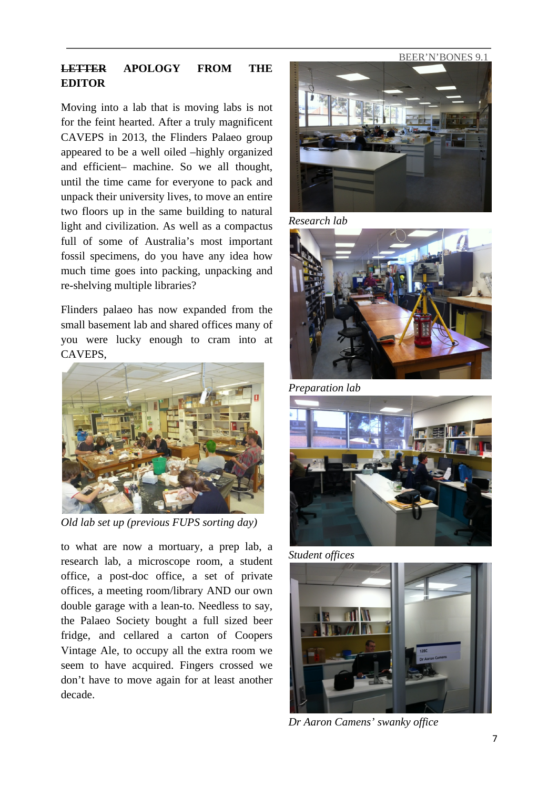# **LETTER APOLOGY FROM THE EDITOR**

Moving into a lab that is moving labs is not for the feint hearted. After a truly magnificent CAVEPS in 2013, the Flinders Palaeo group appeared to be a well oiled –highly organized and efficient– machine. So we all thought, until the time came for everyone to pack and unpack their university lives, to move an entire two floors up in the same building to natural light and civilization. As well as a compactus full of some of Australia's most important fossil specimens, do you have any idea how much time goes into packing, unpacking and re-shelving multiple libraries?

Flinders palaeo has now expanded from the small basement lab and shared offices many of you were lucky enough to cram into at CAVEPS,



*Old lab set up (previous FUPS sorting day)* 

to what are now a mortuary, a prep lab, a research lab, a microscope room, a student office, a post-doc office, a set of private offices, a meeting room/library AND our own double garage with a lean-to. Needless to say, the Palaeo Society bought a full sized beer fridge, and cellared a carton of Coopers Vintage Ale, to occupy all the extra room we seem to have acquired. Fingers crossed we don't have to move again for at least another decade.



*Research lab*



*Preparation lab*







*Dr Aaron Camens' swanky office*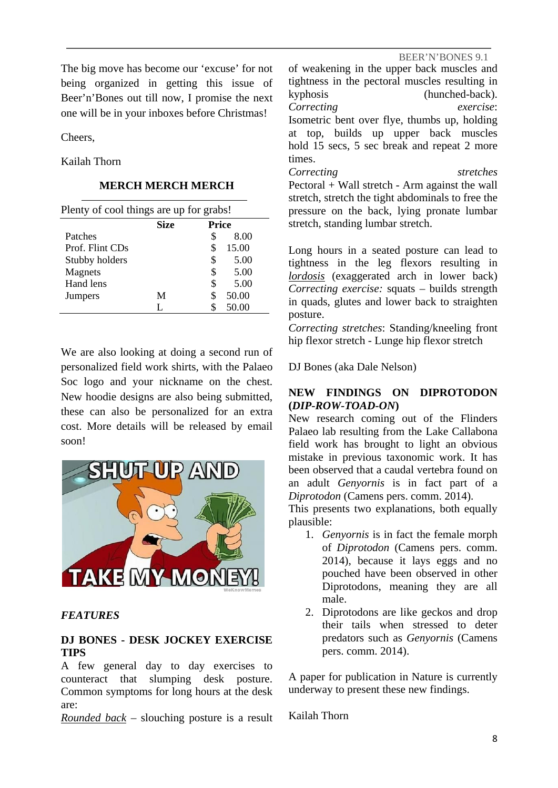The big move has become our 'excuse' for not being organized in getting this issue of Beer'n'Bones out till now, I promise the next one will be in your inboxes before Christmas!

Cheers,

Kailah Thorn

# **MERCH MERCH MERCH**

| Plenty of cool things are up for grabs! |             |              |  |
|-----------------------------------------|-------------|--------------|--|
|                                         | <b>Size</b> | <b>Price</b> |  |
| Patches                                 |             | 8.00<br>S    |  |
| Prof. Flint CDs                         |             | 15.00<br>S   |  |
| Stubby holders                          |             | 5.00<br>\$   |  |
| <b>Magnets</b>                          |             | 5.00<br>S    |  |
| Hand lens                               |             | 5.00<br>\$   |  |
| <b>Jumpers</b>                          | M           | 50.00        |  |
|                                         | L           | 50.00        |  |

We are also looking at doing a second run of personalized field work shirts, with the Palaeo Soc logo and your nickname on the chest. New hoodie designs are also being submitted, these can also be personalized for an extra cost. More details will be released by email soon!



# *FEATURES*

# **DJ BONES - DESK JOCKEY EXERCISE TIPS**

A few general day to day exercises to counteract that slumping desk posture. Common symptoms for long hours at the desk are:

*Rounded back* – slouching posture is a result

of weakening in the upper back muscles and tightness in the pectoral muscles resulting in kyphosis (hunched-back). *Correcting exercise*: Isometric bent over flye, thumbs up, holding at top, builds up upper back muscles hold 15 secs, 5 sec break and repeat 2 more times.

*Correcting stretches* Pectoral + Wall stretch - Arm against the wall stretch, stretch the tight abdominals to free the pressure on the back, lying pronate lumbar stretch, standing lumbar stretch.

Long hours in a seated posture can lead to tightness in the leg flexors resulting in *lordosis* (exaggerated arch in lower back) *Correcting exercise:* squats – builds strength in quads, glutes and lower back to straighten posture.

*Correcting stretches*: Standing/kneeling front hip flexor stretch - Lunge hip flexor stretch

DJ Bones (aka Dale Nelson)

### **NEW FINDINGS ON DIPROTODON (***DIP-ROW-TOAD-ON***)**

New research coming out of the Flinders Palaeo lab resulting from the Lake Callabona field work has brought to light an obvious mistake in previous taxonomic work. It has been observed that a caudal vertebra found on an adult *Genyornis* is in fact part of a *Diprotodon* (Camens pers. comm. 2014).

This presents two explanations, both equally plausible:

- 1. *Genyornis* is in fact the female morph of *Diprotodon* (Camens pers. comm. 2014), because it lays eggs and no pouched have been observed in other Diprotodons, meaning they are all male.
- 2. Diprotodons are like geckos and drop their tails when stressed to deter predators such as *Genyornis* (Camens pers. comm. 2014).

A paper for publication in Nature is currently underway to present these new findings.

Kailah Thorn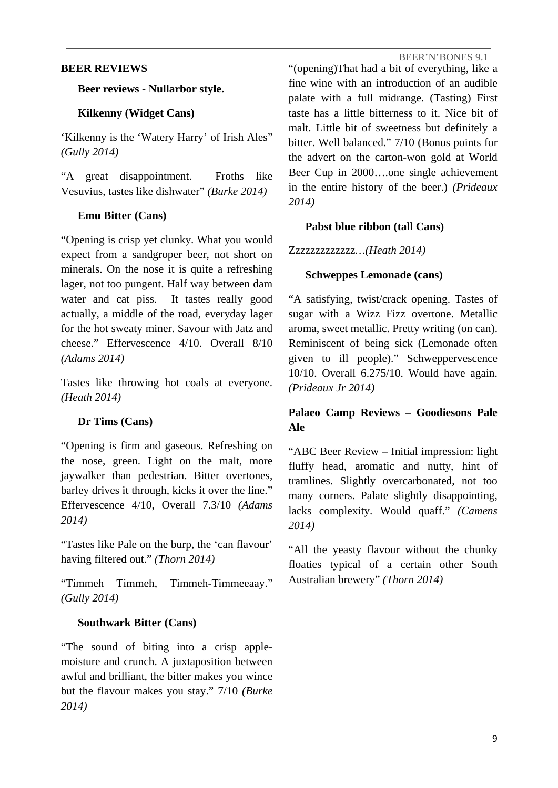#### **BEER REVIEWS**

#### **Beer reviews - Nullarbor style.**

# **Kilkenny (Widget Cans)**

'Kilkenny is the 'Watery Harry' of Irish Ales" *(Gully 2014)*

"A great disappointment. Froths like Vesuvius, tastes like dishwater" *(Burke 2014)*

# **Emu Bitter (Cans)**

"Opening is crisp yet clunky. What you would expect from a sandgroper beer, not short on minerals. On the nose it is quite a refreshing lager, not too pungent. Half way between dam water and cat piss. It tastes really good actually, a middle of the road, everyday lager for the hot sweaty miner. Savour with Jatz and cheese." Effervescence 4/10. Overall 8/10 *(Adams 2014)*

Tastes like throwing hot coals at everyone. *(Heath 2014)*

# **Dr Tims (Cans)**

"Opening is firm and gaseous. Refreshing on the nose, green. Light on the malt, more jaywalker than pedestrian. Bitter overtones, barley drives it through, kicks it over the line." Effervescence 4/10, Overall 7.3/10 *(Adams 2014)*

"Tastes like Pale on the burp, the 'can flavour' having filtered out." *(Thorn 2014)*

"Timmeh Timmeh, Timmeh-Timmeeaay." *(Gully 2014)*

# **Southwark Bitter (Cans)**

"The sound of biting into a crisp applemoisture and crunch. A juxtaposition between awful and brilliant, the bitter makes you wince but the flavour makes you stay." 7/10 *(Burke 2014)*

"(opening)That had a bit of everything, like a fine wine with an introduction of an audible palate with a full midrange. (Tasting) First taste has a little bitterness to it. Nice bit of malt. Little bit of sweetness but definitely a bitter. Well balanced." 7/10 (Bonus points for the advert on the carton-won gold at World Beer Cup in 2000….one single achievement in the entire history of the beer.) *(Prideaux 2014)*

#### **Pabst blue ribbon (tall Cans)**

Zzzzzzzzzzzzz*…(Heath 2014)*

#### **Schweppes Lemonade (cans)**

"A satisfying, twist/crack opening. Tastes of sugar with a Wizz Fizz overtone. Metallic aroma, sweet metallic. Pretty writing (on can). Reminiscent of being sick (Lemonade often given to ill people)." Schweppervescence 10/10. Overall 6.275/10. Would have again. *(Prideaux Jr 2014)* 

# **Palaeo Camp Reviews – Goodiesons Pale Ale**

"ABC Beer Review – Initial impression: light fluffy head, aromatic and nutty, hint of tramlines. Slightly overcarbonated, not too many corners. Palate slightly disappointing, lacks complexity. Would quaff." *(Camens 2014)* 

"All the yeasty flavour without the chunky floaties typical of a certain other South Australian brewery" *(Thorn 2014)*